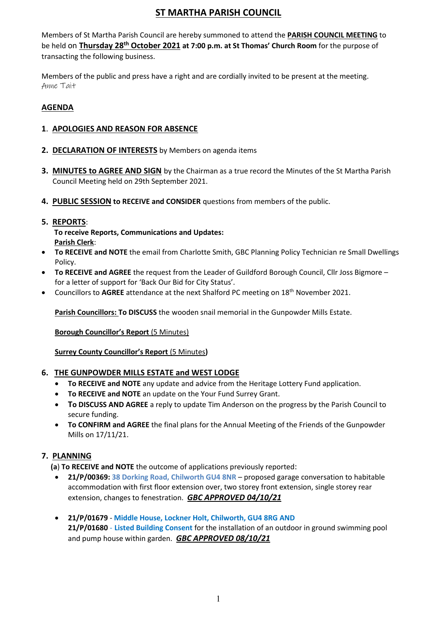# **ST MARTHA PARISH COUNCIL**

Members of St Martha Parish Council are hereby summoned to attend the **PARISH COUNCIL MEETING** to be held on **Thursday 28th October 2021 at 7:00 p.m. at St Thomas' Church Room** for the purpose of transacting the following business.

Members of the public and press have a right and are cordially invited to be present at the meeting. Anne Tait

# **AGENDA**

### **1**. **APOLOGIES AND REASON FOR ABSENCE**

- **2. DECLARATION OF INTERESTS** by Members on agenda items
- **3. MINUTES to AGREE AND SIGN** by the Chairman as a true record the Minutes of the St Martha Parish Council Meeting held on 29th September 2021.
- **4. PUBLIC SESSION to RECEIVE and CONSIDER** questions from members of the public.
- **5. REPORTS**:

 **To receive Reports, Communications and Updates: Parish Clerk**:

- **To RECEIVE and NOTE** the email from Charlotte Smith, GBC Planning Policy Technician re Small Dwellings Policy.
- **To RECEIVE and AGREE** the request from the Leader of Guildford Borough Council, Cllr Joss Bigmore for a letter of support for 'Back Our Bid for City Status'.
- Councillors to **AGREE** attendance at the next Shalford PC meeting on 18th November 2021.

**Parish Councillors: To DISCUSS** the wooden snail memorial in the Gunpowder Mills Estate.

**Borough Councillor's Report** (5 Minutes)

**Surrey County Councillor's Report** (5 Minutes**)** 

### **6. THE GUNPOWDER MILLS ESTATE and WEST LODGE**

- **To RECEIVE and NOTE** any update and advice from the Heritage Lottery Fund application.
- **To RECEIVE and NOTE** an update on the Your Fund Surrey Grant.
- **To DISCUSS AND AGREE** a reply to update Tim Anderson on the progress by the Parish Council to secure funding.
- **To CONFIRM and AGREE** the final plans for the Annual Meeting of the Friends of the Gunpowder Mills on 17/11/21.

### **7. PLANNING**

**(a**) **To RECEIVE and NOTE** the outcome of applications previously reported:

- **21/P/00369: 38 Dorking Road, Chilworth GU4 8NR** proposed garage conversation to habitable accommodation with first floor extension over, two storey front extension, single storey rear extension, changes to fenestration. *GBC APPROVED 04/10/21*
- **21/P/01679 Middle House, Lockner Holt, Chilworth, GU4 8RG AND 21/P/01680** - **Listed Building Consent** for the installation of an outdoor in ground swimming pool and pump house within garden. *GBC APPROVED 08/10/21*